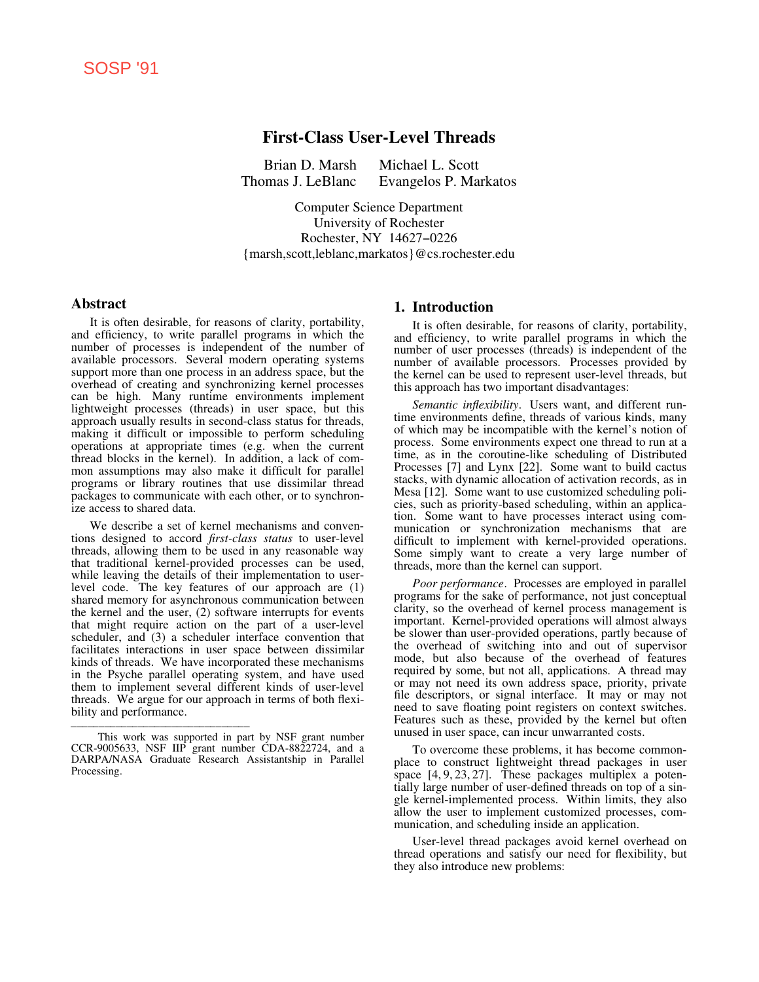# **First-Class User-Level Threads**

Brian D. Marsh Michael L. Scott Thomas J. LeBlanc Evangelos P. Markatos

Computer Science Department University of Rochester Rochester, NY 14627−0226 {marsh,scott,leblanc,markatos}@cs.rochester.edu

#### **Abstract**

It is often desirable, for reasons of clarity, portability, and efficiency, to write parallel programs in which the number of processes is independent of the number of available processors. Several modern operating systems support more than one process in an address space, but the overhead of creating and synchronizing kernel processes can be high. Many runtime environments implement lightweight processes (threads) in user space, but this approach usually results in second-class status for threads, making it difficult or impossible to perform scheduling operations at appropriate times (e.g. when the current thread blocks in the kernel). In addition, a lack of common assumptions may also make it difficult for parallel programs or library routines that use dissimilar thread packages to communicate with each other, or to synchronize access to shared data.

We describe a set of kernel mechanisms and conventions designed to accord *first-class status* to user-level threads, allowing them to be used in any reasonable way that traditional kernel-provided processes can be used, while leaving the details of their implementation to userlevel code. The key features of our approach are (1) shared memory for asynchronous communication between the kernel and the user, (2) software interrupts for events that might require action on the part of a user-level scheduler, and (3) a scheduler interface convention that facilitates interactions in user space between dissimilar kinds of threads. We have incorporated these mechanisms in the Psyche parallel operating system, and have used them to implement several different kinds of user-level threads. We argue for our approach in terms of both flexibility and performance.

<u> 2002 - Jan James James James James James James James James James James James James James James James James J</u>

#### **1. Introduction**

It is often desirable, for reasons of clarity, portability, and efficiency, to write parallel programs in which the number of user processes (threads) is independent of the number of available processors. Processes provided by the kernel can be used to represent user-level threads, but this approach has two important disadvantages:

*Semantic inflexibility*. Users want, and different runtime environments define, threads of various kinds, many of which may be incompatible with the kernel's notion of process. Some environments expect one thread to run at a time, as in the coroutine-like scheduling of Distributed Processes [7] and Lynx [22]. Some want to build cactus stacks, with dynamic allocation of activation records, as in Mesa [12]. Some want to use customized scheduling policies, such as priority-based scheduling, within an application. Some want to have processes interact using communication or synchronization mechanisms that are difficult to implement with kernel-provided operations. Some simply want to create a very large number of threads, more than the kernel can support.

*Poor performance*. Processes are employed in parallel programs for the sake of performance, not just conceptual clarity, so the overhead of kernel process management is important. Kernel-provided operations will almost always be slower than user-provided operations, partly because of the overhead of switching into and out of supervisor mode, but also because of the overhead of features required by some, but not all, applications. A thread may or may not need its own address space, priority, private file descriptors, or signal interface. It may or may not need to save floating point registers on context switches. Features such as these, provided by the kernel but often unused in user space, can incur unwarranted costs.

To overcome these problems, it has become commonplace to construct lightweight thread packages in user space [4, 9, 23, 27]. These packages multiplex a potentially large number of user-defined threads on top of a single kernel-implemented process. Within limits, they also allow the user to implement customized processes, communication, and scheduling inside an application.

User-level thread packages avoid kernel overhead on thread operations and satisfy our need for flexibility, but they also introduce new problems:

This work was supported in part by NSF grant number CCR-9005633, NSF IIP grant number CDA-8822724, and a DARPA/NASA Graduate Research Assistantship in Parallel Processing.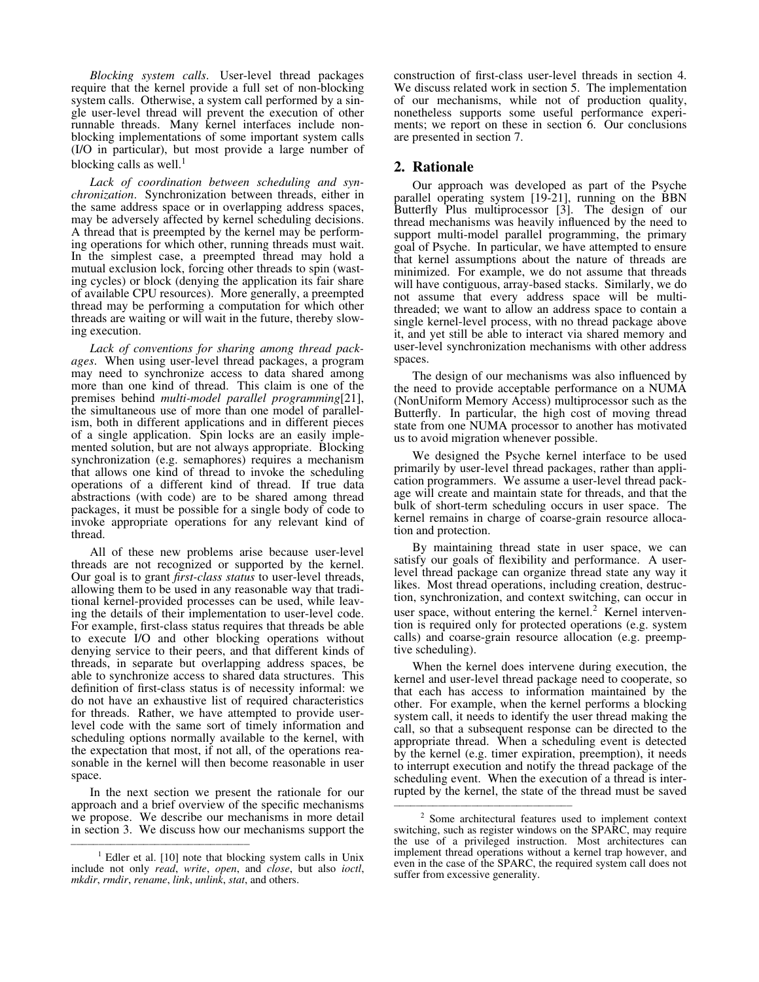*Blocking system calls*. User-level thread packages require that the kernel provide a full set of non-blocking system calls. Otherwise, a system call performed by a single user-level thread will prevent the execution of other runnable threads. Many kernel interfaces include nonblocking implementations of some important system calls (I/O in particular), but most provide a large number of blocking calls as well. $<sup>1</sup>$ </sup>

*Lack of coordination between scheduling and synchronization*. Synchronization between threads, either in the same address space or in overlapping address spaces, may be adversely affected by kernel scheduling decisions. A thread that is preempted by the kernel may be performing operations for which other, running threads must wait. In the simplest case, a preempted thread may hold a mutual exclusion lock, forcing other threads to spin (wasting cycles) or block (denying the application its fair share of available CPU resources). More generally, a preempted thread may be performing a computation for which other threads are waiting or will wait in the future, thereby slowing execution.

*Lack of conventions for sharing among thread packages*. When using user-level thread packages, a program may need to synchronize access to data shared among more than one kind of thread. This claim is one of the premises behind *multi-model parallel programming*[21], the simultaneous use of more than one model of parallelism, both in different applications and in different pieces of a single application. Spin locks are an easily implemented solution, but are not always appropriate. Blocking synchronization (e.g. semaphores) requires a mechanism that allows one kind of thread to invoke the scheduling operations of a different kind of thread. If true data abstractions (with code) are to be shared among thread packages, it must be possible for a single body of code to invoke appropriate operations for any relevant kind of thread.

All of these new problems arise because user-level threads are not recognized or supported by the kernel. Our goal is to grant *first-class status* to user-level threads, allowing them to be used in any reasonable way that traditional kernel-provided processes can be used, while leaving the details of their implementation to user-level code. For example, first-class status requires that threads be able to execute I/O and other blocking operations without denying service to their peers, and that different kinds of threads, in separate but overlapping address spaces, be able to synchronize access to shared data structures. This definition of first-class status is of necessity informal: we do not have an exhaustive list of required characteristics for threads. Rather, we have attempted to provide userlevel code with the same sort of timely information and scheduling options normally available to the kernel, with the expectation that most, if not all, of the operations reasonable in the kernel will then become reasonable in user space.

In the next section we present the rationale for our approach and a brief overview of the specific mechanisms we propose. We describe our mechanisms in more detail in section 3. We discuss how our mechanisms support the

<u> 2002 - Jan James James James James James James James James James James James James James James James James J</u>

construction of first-class user-level threads in section 4. We discuss related work in section 5. The implementation of our mechanisms, while not of production quality, nonetheless supports some useful performance experiments; we report on these in section 6. Our conclusions are presented in section 7.

## **2. Rationale**

Our approach was developed as part of the Psyche parallel operating system [19-21], running on the BBN Butterfly Plus multiprocessor [3]. The design of our thread mechanisms was heavily influenced by the need to support multi-model parallel programming, the primary goal of Psyche. In particular, we have attempted to ensure that kernel assumptions about the nature of threads are minimized. For example, we do not assume that threads will have contiguous, array-based stacks. Similarly, we do not assume that every address space will be multithreaded; we want to allow an address space to contain a single kernel-level process, with no thread package above it, and yet still be able to interact via shared memory and user-level synchronization mechanisms with other address spaces.

The design of our mechanisms was also influenced by the need to provide acceptable performance on a NUMA (NonUniform Memory Access) multiprocessor such as the Butterfly. In particular, the high cost of moving thread state from one NUMA processor to another has motivated us to avoid migration whenever possible.

We designed the Psyche kernel interface to be used primarily by user-level thread packages, rather than application programmers. We assume a user-level thread package will create and maintain state for threads, and that the bulk of short-term scheduling occurs in user space. The kernel remains in charge of coarse-grain resource allocation and protection.

By maintaining thread state in user space, we can satisfy our goals of flexibility and performance. A userlevel thread package can organize thread state any way it likes. Most thread operations, including creation, destruction, synchronization, and context switching, can occur in user space, without entering the kernel.<sup>2</sup> Kernel intervention is required only for protected operations (e.g. system calls) and coarse-grain resource allocation (e.g. preemptive scheduling).

When the kernel does intervene during execution, the kernel and user-level thread package need to cooperate, so that each has access to information maintained by the other. For example, when the kernel performs a blocking system call, it needs to identify the user thread making the call, so that a subsequent response can be directed to the appropriate thread. When a scheduling event is detected by the kernel (e.g. timer expiration, preemption), it needs to interrupt execution and notify the thread package of the scheduling event. When the execution of a thread is interrupted by the kernel, the state of the thread must be saved

<u> 1990 - Jan Stern Harry Harry Harry Harry Harry Harry Harry Harry Harry Harry Harry Harry Harry Harry Harry Ha</u>

 $<sup>1</sup>$  Edler et al. [10] note that blocking system calls in Unix</sup> include not only *read*, *write*, *open*, and *close*, but also *ioctl*, *mkdir*, *rmdir*, *rename*, *link*, *unlink*, *stat*, and others.

<sup>2</sup> Some architectural features used to implement context switching, such as register windows on the SPARC, may require the use of a privileged instruction. Most architectures can implement thread operations without a kernel trap however, and even in the case of the SPARC, the required system call does not suffer from excessive generality.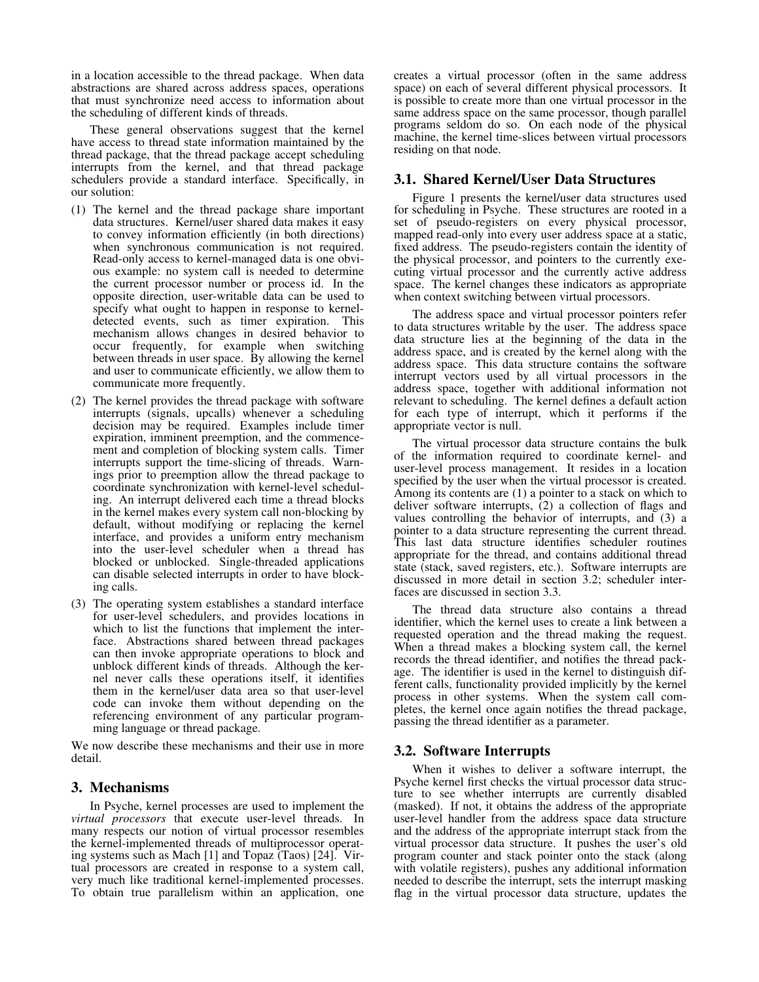in a location accessible to the thread package. When data abstractions are shared across address spaces, operations that must synchronize need access to information about the scheduling of different kinds of threads.

These general observations suggest that the kernel have access to thread state information maintained by the thread package, that the thread package accept scheduling interrupts from the kernel, and that thread package schedulers provide a standard interface. Specifically, in our solution:

- (1) The kernel and the thread package share important data structures. Kernel/user shared data makes it easy to convey information efficiently (in both directions) when synchronous communication is not required. Read-only access to kernel-managed data is one obvious example: no system call is needed to determine the current processor number or process id. In the opposite direction, user-writable data can be used to specify what ought to happen in response to kerneldetected events, such as timer expiration. This mechanism allows changes in desired behavior to occur frequently, for example when switching between threads in user space. By allowing the kernel and user to communicate efficiently, we allow them to communicate more frequently.
- (2) The kernel provides the thread package with software interrupts (signals, upcalls) whenever a scheduling decision may be required. Examples include timer expiration, imminent preemption, and the commencement and completion of blocking system calls. Timer interrupts support the time-slicing of threads. Warnings prior to preemption allow the thread package to coordinate synchronization with kernel-level scheduling. An interrupt delivered each time a thread blocks in the kernel makes every system call non-blocking by default, without modifying or replacing the kernel interface, and provides a uniform entry mechanism into the user-level scheduler when a thread has blocked or unblocked. Single-threaded applications can disable selected interrupts in order to have blocking calls.
- (3) The operating system establishes a standard interface for user-level schedulers, and provides locations in which to list the functions that implement the interface. Abstractions shared between thread packages can then invoke appropriate operations to block and unblock different kinds of threads. Although the kernel never calls these operations itself, it identifies them in the kernel/user data area so that user-level code can invoke them without depending on the referencing environment of any particular programming language or thread package.

We now describe these mechanisms and their use in more detail.

# **3. Mechanisms**

In Psyche, kernel processes are used to implement the *virtual processors* that execute user-level threads. In many respects our notion of virtual processor resembles the kernel-implemented threads of multiprocessor operating systems such as Mach [1] and Topaz (Taos) [24]. Virtual processors are created in response to a system call, very much like traditional kernel-implemented processes. To obtain true parallelism within an application, one

creates a virtual processor (often in the same address space) on each of several different physical processors. It is possible to create more than one virtual processor in the same address space on the same processor, though parallel programs seldom do so. On each node of the physical machine, the kernel time-slices between virtual processors residing on that node.

## **3.1. Shared Kernel/User Data Structures**

Figure 1 presents the kernel/user data structures used for scheduling in Psyche. These structures are rooted in a set of pseudo-registers on every physical processor, mapped read-only into every user address space at a static, fixed address. The pseudo-registers contain the identity of the physical processor, and pointers to the currently executing virtual processor and the currently active address space. The kernel changes these indicators as appropriate when context switching between virtual processors.

The address space and virtual processor pointers refer to data structures writable by the user. The address space data structure lies at the beginning of the data in the address space, and is created by the kernel along with the address space. This data structure contains the software interrupt vectors used by all virtual processors in the address space, together with additional information not relevant to scheduling. The kernel defines a default action for each type of interrupt, which it performs if the appropriate vector is null.

The virtual processor data structure contains the bulk of the information required to coordinate kernel- and user-level process management. It resides in a location specified by the user when the virtual processor is created. Among its contents are (1) a pointer to a stack on which to deliver software interrupts,  $(2)$  a collection of flags and values controlling the behavior of interrupts, and (3) a pointer to a data structure representing the current thread. This last data structure identifies scheduler routines appropriate for the thread, and contains additional thread state (stack, saved registers, etc.). Software interrupts are discussed in more detail in section 3.2; scheduler interfaces are discussed in section 3.3.

The thread data structure also contains a thread identifier, which the kernel uses to create a link between a requested operation and the thread making the request. When a thread makes a blocking system call, the kernel records the thread identifier, and notifies the thread package. The identifier is used in the kernel to distinguish different calls, functionality provided implicitly by the kernel process in other systems. When the system call completes, the kernel once again notifies the thread package, passing the thread identifier as a parameter.

#### **3.2. Software Interrupts**

When it wishes to deliver a software interrupt, the Psyche kernel first checks the virtual processor data structure to see whether interrupts are currently disabled (masked). If not, it obtains the address of the appropriate user-level handler from the address space data structure and the address of the appropriate interrupt stack from the virtual processor data structure. It pushes the user's old program counter and stack pointer onto the stack (along with volatile registers), pushes any additional information needed to describe the interrupt, sets the interrupt masking flag in the virtual processor data structure, updates the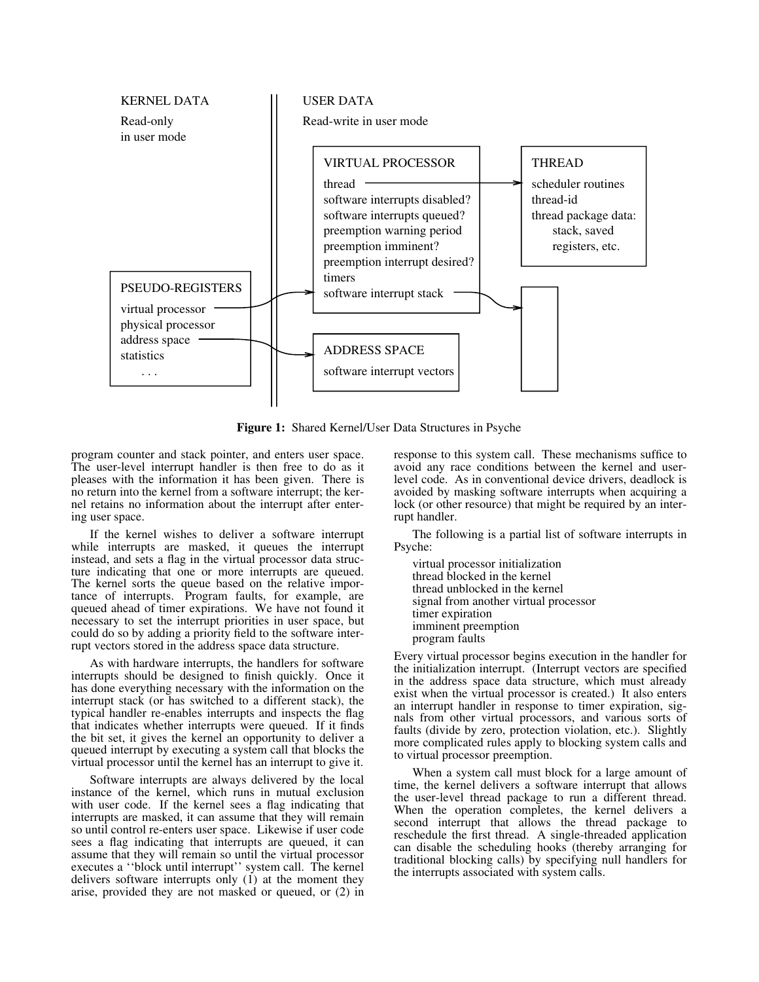

**Figure 1:** Shared Kernel/User Data Structures in Psyche

program counter and stack pointer, and enters user space. The user-level interrupt handler is then free to do as it pleases with the information it has been given. There is no return into the kernel from a software interrupt; the kernel retains no information about the interrupt after entering user space.

If the kernel wishes to deliver a software interrupt while interrupts are masked, it queues the interrupt instead, and sets a flag in the virtual processor data structure indicating that one or more interrupts are queued. The kernel sorts the queue based on the relative importance of interrupts. Program faults, for example, are queued ahead of timer expirations. We have not found it necessary to set the interrupt priorities in user space, but could do so by adding a priority field to the software interrupt vectors stored in the address space data structure.

As with hardware interrupts, the handlers for software interrupts should be designed to finish quickly. Once it has done everything necessary with the information on the interrupt stack (or has switched to a different stack), the typical handler re-enables interrupts and inspects the flag that indicates whether interrupts were queued. If it finds the bit set, it gives the kernel an opportunity to deliver a queued interrupt by executing a system call that blocks the virtual processor until the kernel has an interrupt to give it.

Software interrupts are always delivered by the local instance of the kernel, which runs in mutual exclusion with user code. If the kernel sees a flag indicating that interrupts are masked, it can assume that they will remain so until control re-enters user space. Likewise if user code sees a flag indicating that interrupts are queued, it can assume that they will remain so until the virtual processor executes a ''block until interrupt'' system call. The kernel delivers software interrupts only  $(1)$  at the moment they arise, provided they are not masked or queued, or (2) in

response to this system call. These mechanisms suffice to avoid any race conditions between the kernel and userlevel code. As in conventional device drivers, deadlock is avoided by masking software interrupts when acquiring a lock (or other resource) that might be required by an interrupt handler.

The following is a partial list of software interrupts in Psyche:

virtual processor initialization thread blocked in the kernel thread unblocked in the kernel signal from another virtual processor timer expiration imminent preemption program faults

Every virtual processor begins execution in the handler for the initialization interrupt. (Interrupt vectors are specified in the address space data structure, which must already exist when the virtual processor is created.) It also enters an interrupt handler in response to timer expiration, signals from other virtual processors, and various sorts of faults (divide by zero, protection violation, etc.). Slightly more complicated rules apply to blocking system calls and to virtual processor preemption.

When a system call must block for a large amount of time, the kernel delivers a software interrupt that allows the user-level thread package to run a different thread. When the operation completes, the kernel delivers a second interrupt that allows the thread package to reschedule the first thread. A single-threaded application can disable the scheduling hooks (thereby arranging for traditional blocking calls) by specifying null handlers for the interrupts associated with system calls.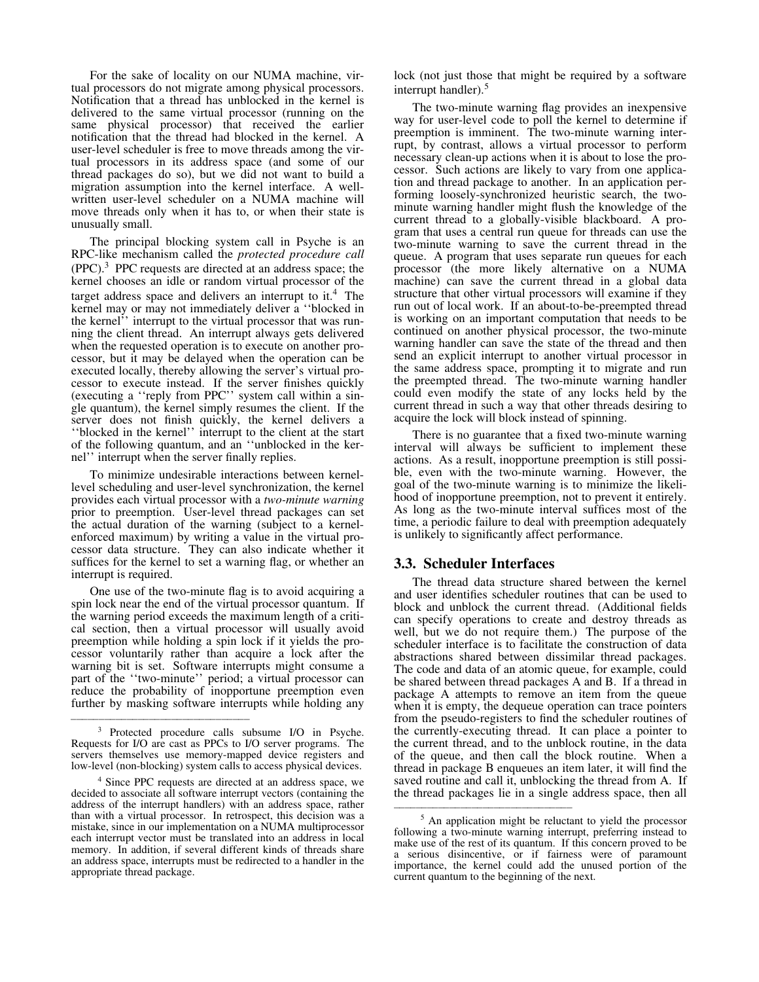For the sake of locality on our NUMA machine, virtual processors do not migrate among physical processors. Notification that a thread has unblocked in the kernel is delivered to the same virtual processor (running on the same physical processor) that received the earlier notification that the thread had blocked in the kernel. A user-level scheduler is free to move threads among the virtual processors in its address space (and some of our thread packages do so), but we did not want to build a migration assumption into the kernel interface. A wellwritten user-level scheduler on a NUMA machine will move threads only when it has to, or when their state is unusually small.

The principal blocking system call in Psyche is an RPC-like mechanism called the *protected procedure call*  $(PPC).$ <sup>3</sup> PPC requests are directed at an address space; the kernel chooses an idle or random virtual processor of the target address space and delivers an interrupt to it.<sup>4</sup> The kernel may or may not immediately deliver a ''blocked in the kernel'' interrupt to the virtual processor that was running the client thread. An interrupt always gets delivered when the requested operation is to execute on another processor, but it may be delayed when the operation can be executed locally, thereby allowing the server's virtual processor to execute instead. If the server finishes quickly (executing a ''reply from PPC'' system call within a single quantum), the kernel simply resumes the client. If the server does not finish quickly, the kernel delivers a ''blocked in the kernel'' interrupt to the client at the start of the following quantum, and an ''unblocked in the kernel'' interrupt when the server finally replies.

To minimize undesirable interactions between kernellevel scheduling and user-level synchronization, the kernel provides each virtual processor with a *two-minute warning* prior to preemption. User-level thread packages can set the actual duration of the warning (subject to a kernelenforced maximum) by writing a value in the virtual processor data structure. They can also indicate whether it suffices for the kernel to set a warning flag, or whether an interrupt is required.

One use of the two-minute flag is to avoid acquiring a spin lock near the end of the virtual processor quantum. If the warning period exceeds the maximum length of a critical section, then a virtual processor will usually avoid preemption while holding a spin lock if it yields the processor voluntarily rather than acquire a lock after the warning bit is set. Software interrupts might consume a part of the ''two-minute'' period; a virtual processor can reduce the probability of inopportune preemption even further by masking software interrupts while holding any

<u> 1989 - Johann Barn, mars ann an t-Amhain an t-Amhain an t-Amhain an t-Amhain an t-Amhain an t-Amhain an t-Amh</u>

lock (not just those that might be required by a software interrupt handler).<sup>5</sup>

The two-minute warning flag provides an inexpensive way for user-level code to poll the kernel to determine if preemption is imminent. The two-minute warning interrupt, by contrast, allows a virtual processor to perform necessary clean-up actions when it is about to lose the processor. Such actions are likely to vary from one application and thread package to another. In an application performing loosely-synchronized heuristic search, the twominute warning handler might flush the knowledge of the current thread to a globally-visible blackboard. A program that uses a central run queue for threads can use the two-minute warning to save the current thread in the queue. A program that uses separate run queues for each processor (the more likely alternative on a NUMA machine) can save the current thread in a global data structure that other virtual processors will examine if they run out of local work. If an about-to-be-preempted thread is working on an important computation that needs to be continued on another physical processor, the two-minute warning handler can save the state of the thread and then send an explicit interrupt to another virtual processor in the same address space, prompting it to migrate and run the preempted thread. The two-minute warning handler could even modify the state of any locks held by the current thread in such a way that other threads desiring to acquire the lock will block instead of spinning.

There is no guarantee that a fixed two-minute warning interval will always be sufficient to implement these actions. As a result, inopportune preemption is still possible, even with the two-minute warning. However, the goal of the two-minute warning is to minimize the likelihood of inopportune preemption, not to prevent it entirely. As long as the two-minute interval suffices most of the time, a periodic failure to deal with preemption adequately is unlikely to significantly affect performance.

### **3.3. Scheduler Interfaces**

The thread data structure shared between the kernel and user identifies scheduler routines that can be used to block and unblock the current thread. (Additional fields can specify operations to create and destroy threads as well, but we do not require them.) The purpose of the scheduler interface is to facilitate the construction of data abstractions shared between dissimilar thread packages. The code and data of an atomic queue, for example, could be shared between thread packages A and B. If a thread in package A attempts to remove an item from the queue when it is empty, the dequeue operation can trace pointers from the pseudo-registers to find the scheduler routines of the currently-executing thread. It can place a pointer to the current thread, and to the unblock routine, in the data of the queue, and then call the block routine. When a thread in package B enqueues an item later, it will find the saved routine and call it, unblocking the thread from A. If the thread packages lie in a single address space, then all

<sup>3</sup> Protected procedure calls subsume I/O in Psyche. Requests for I/O are cast as PPCs to I/O server programs. The servers themselves use memory-mapped device registers and low-level (non-blocking) system calls to access physical devices.

<sup>&</sup>lt;sup>4</sup> Since PPC requests are directed at an address space, we decided to associate all software interrupt vectors (containing the address of the interrupt handlers) with an address space, rather than with a virtual processor. In retrospect, this decision was a mistake, since in our implementation on a NUMA multiprocessor each interrupt vector must be translated into an address in local memory. In addition, if several different kinds of threads share an address space, interrupts must be redirected to a handler in the appropriate thread package.

<sup>&</sup>lt;sup>5</sup> An application might be reluctant to yield the processor following a two-minute warning interrupt, preferring instead to make use of the rest of its quantum. If this concern proved to be a serious disincentive, or if fairness were of paramount importance, the kernel could add the unused portion of the current quantum to the beginning of the next.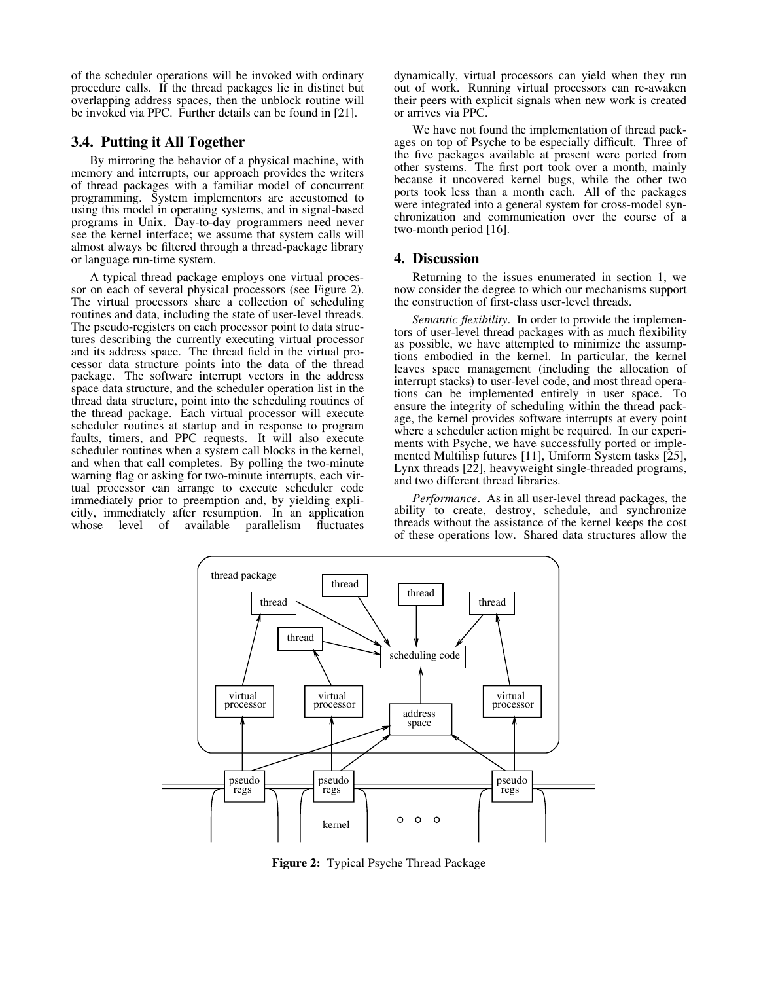of the scheduler operations will be invoked with ordinary procedure calls. If the thread packages lie in distinct but overlapping address spaces, then the unblock routine will be invoked via PPC. Further details can be found in [21].

# **3.4. Putting it All Together**

By mirroring the behavior of a physical machine, with memory and interrupts, our approach provides the writers of thread packages with a familiar model of concurrent programming. System implementors are accustomed to using this model in operating systems, and in signal-based programs in Unix. Day-to-day programmers need never see the kernel interface; we assume that system calls will almost always be filtered through a thread-package library or language run-time system.

A typical thread package employs one virtual processor on each of several physical processors (see Figure 2). The virtual processors share a collection of scheduling routines and data, including the state of user-level threads. The pseudo-registers on each processor point to data structures describing the currently executing virtual processor and its address space. The thread field in the virtual processor data structure points into the data of the thread package. The software interrupt vectors in the address space data structure, and the scheduler operation list in the thread data structure, point into the scheduling routines of the thread package. Each virtual processor will execute scheduler routines at startup and in response to program faults, timers, and PPC requests. It will also execute scheduler routines when a system call blocks in the kernel, and when that call completes. By polling the two-minute warning flag or asking for two-minute interrupts, each virtual processor can arrange to execute scheduler code immediately prior to preemption and, by yielding explicitly, immediately after resumption. In an application whose level of available parallelism fluctuates

dynamically, virtual processors can yield when they run out of work. Running virtual processors can re-awaken their peers with explicit signals when new work is created or arrives via PPC.

We have not found the implementation of thread packages on top of Psyche to be especially difficult. Three of the five packages available at present were ported from other systems. The first port took over a month, mainly because it uncovered kernel bugs, while the other two ports took less than a month each. All of the packages were integrated into a general system for cross-model synchronization and communication over the course of a two-month period [16].

## **4. Discussion**

Returning to the issues enumerated in section 1, we now consider the degree to which our mechanisms support the construction of first-class user-level threads.

*Semantic flexibility*. In order to provide the implementors of user-level thread packages with as much flexibility as possible, we have attempted to minimize the assumptions embodied in the kernel. In particular, the kernel leaves space management (including the allocation of interrupt stacks) to user-level code, and most thread operations can be implemented entirely in user space. To ensure the integrity of scheduling within the thread package, the kernel provides software interrupts at every point where a scheduler action might be required. In our experiments with Psyche, we have successfully ported or implemented Multilisp futures [11], Uniform System tasks [25], Lynx threads [22], heavyweight single-threaded programs, and two different thread libraries.

*Performance*. As in all user-level thread packages, the ability to create, destroy, schedule, and synchronize threads without the assistance of the kernel keeps the cost of these operations low. Shared data structures allow the



**Figure 2:** Typical Psyche Thread Package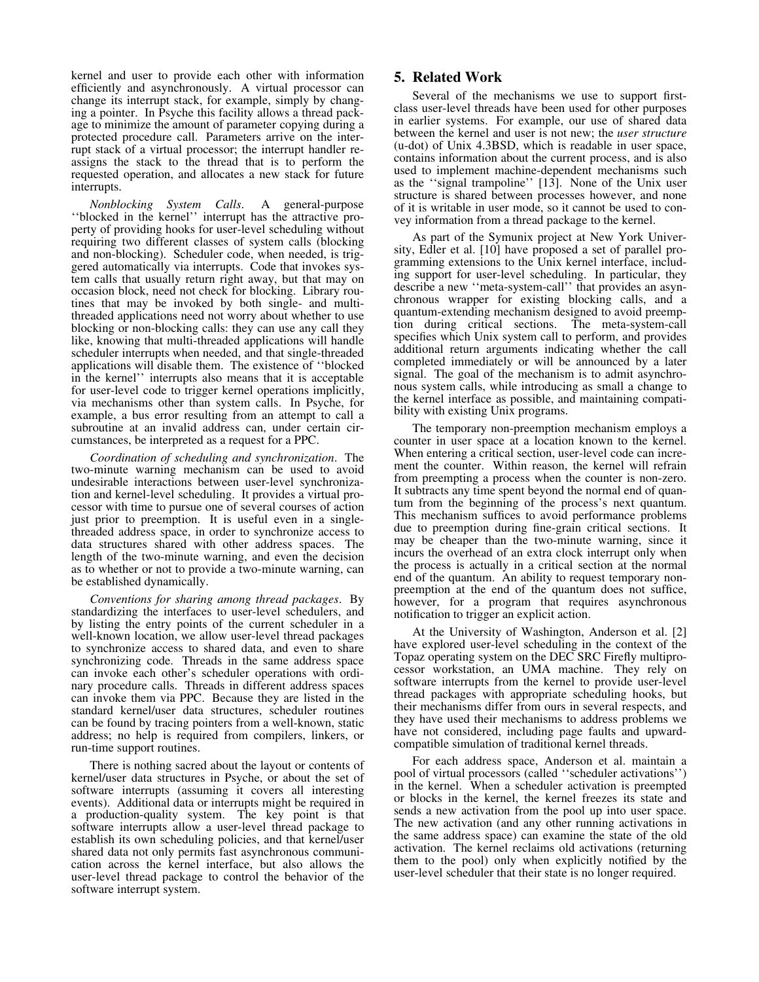kernel and user to provide each other with information efficiently and asynchronously. A virtual processor can change its interrupt stack, for example, simply by changing a pointer. In Psyche this facility allows a thread package to minimize the amount of parameter copying during a protected procedure call. Parameters arrive on the interrupt stack of a virtual processor; the interrupt handler reassigns the stack to the thread that is to perform the requested operation, and allocates a new stack for future interrupts.

*Nonblocking System Calls*. A general-purpose ''blocked in the kernel'' interrupt has the attractive property of providing hooks for user-level scheduling without requiring two different classes of system calls (blocking and non-blocking). Scheduler code, when needed, is triggered automatically via interrupts. Code that invokes system calls that usually return right away, but that may on occasion block, need not check for blocking. Library routines that may be invoked by both single- and multithreaded applications need not worry about whether to use blocking or non-blocking calls: they can use any call they like, knowing that multi-threaded applications will handle scheduler interrupts when needed, and that single-threaded applications will disable them. The existence of ''blocked in the kernel'' interrupts also means that it is acceptable for user-level code to trigger kernel operations implicitly, via mechanisms other than system calls. In Psyche, for example, a bus error resulting from an attempt to call a subroutine at an invalid address can, under certain circumstances, be interpreted as a request for a PPC.

*Coordination of scheduling and synchronization*. The two-minute warning mechanism can be used to avoid undesirable interactions between user-level synchronization and kernel-level scheduling. It provides a virtual processor with time to pursue one of several courses of action just prior to preemption. It is useful even in a singlethreaded address space, in order to synchronize access to data structures shared with other address spaces. The length of the two-minute warning, and even the decision as to whether or not to provide a two-minute warning, can be established dynamically.

*Conventions for sharing among thread packages*. By standardizing the interfaces to user-level schedulers, and by listing the entry points of the current scheduler in a well-known location, we allow user-level thread packages to synchronize access to shared data, and even to share synchronizing code. Threads in the same address space can invoke each other's scheduler operations with ordinary procedure calls. Threads in different address spaces can invoke them via PPC. Because they are listed in the standard kernel/user data structures, scheduler routines can be found by tracing pointers from a well-known, static address; no help is required from compilers, linkers, or run-time support routines.

There is nothing sacred about the layout or contents of kernel/user data structures in Psyche, or about the set of software interrupts (assuming it covers all interesting events). Additional data or interrupts might be required in a production-quality system. The key point is that software interrupts allow a user-level thread package to establish its own scheduling policies, and that kernel/user shared data not only permits fast asynchronous communication across the kernel interface, but also allows the user-level thread package to control the behavior of the software interrupt system.

# **5. Related Work**

Several of the mechanisms we use to support firstclass user-level threads have been used for other purposes in earlier systems. For example, our use of shared data between the kernel and user is not new; the *user structure* (u-dot) of Unix 4.3BSD, which is readable in user space, contains information about the current process, and is also used to implement machine-dependent mechanisms such as the ''signal trampoline'' [13]. None of the Unix user structure is shared between processes however, and none of it is writable in user mode, so it cannot be used to convey information from a thread package to the kernel.

As part of the Symunix project at New York University, Edler et al. [10] have proposed a set of parallel programming extensions to the Unix kernel interface, including support for user-level scheduling. In particular, they describe a new ''meta-system-call'' that provides an asynchronous wrapper for existing blocking calls, and a quantum-extending mechanism designed to avoid preemption during critical sections. The meta-system-call specifies which Unix system call to perform, and provides additional return arguments indicating whether the call completed immediately or will be announced by a later signal. The goal of the mechanism is to admit asynchronous system calls, while introducing as small a change to the kernel interface as possible, and maintaining compatibility with existing Unix programs.

The temporary non-preemption mechanism employs a counter in user space at a location known to the kernel. When entering a critical section, user-level code can increment the counter. Within reason, the kernel will refrain from preempting a process when the counter is non-zero. It subtracts any time spent beyond the normal end of quantum from the beginning of the process's next quantum. This mechanism suffices to avoid performance problems due to preemption during fine-grain critical sections. It may be cheaper than the two-minute warning, since it incurs the overhead of an extra clock interrupt only when the process is actually in a critical section at the normal end of the quantum. An ability to request temporary nonpreemption at the end of the quantum does not suffice, however, for a program that requires asynchronous notification to trigger an explicit action.

At the University of Washington, Anderson et al. [2] have explored user-level scheduling in the context of the Topaz operating system on the DEC SRC Firefly multiprocessor workstation, an UMA machine. They rely on software interrupts from the kernel to provide user-level thread packages with appropriate scheduling hooks, but their mechanisms differ from ours in several respects, and they have used their mechanisms to address problems we have not considered, including page faults and upwardcompatible simulation of traditional kernel threads.

For each address space, Anderson et al. maintain a pool of virtual processors (called ''scheduler activations'') in the kernel. When a scheduler activation is preempted or blocks in the kernel, the kernel freezes its state and sends a new activation from the pool up into user space. The new activation (and any other running activations in the same address space) can examine the state of the old activation. The kernel reclaims old activations (returning them to the pool) only when explicitly notified by the user-level scheduler that their state is no longer required.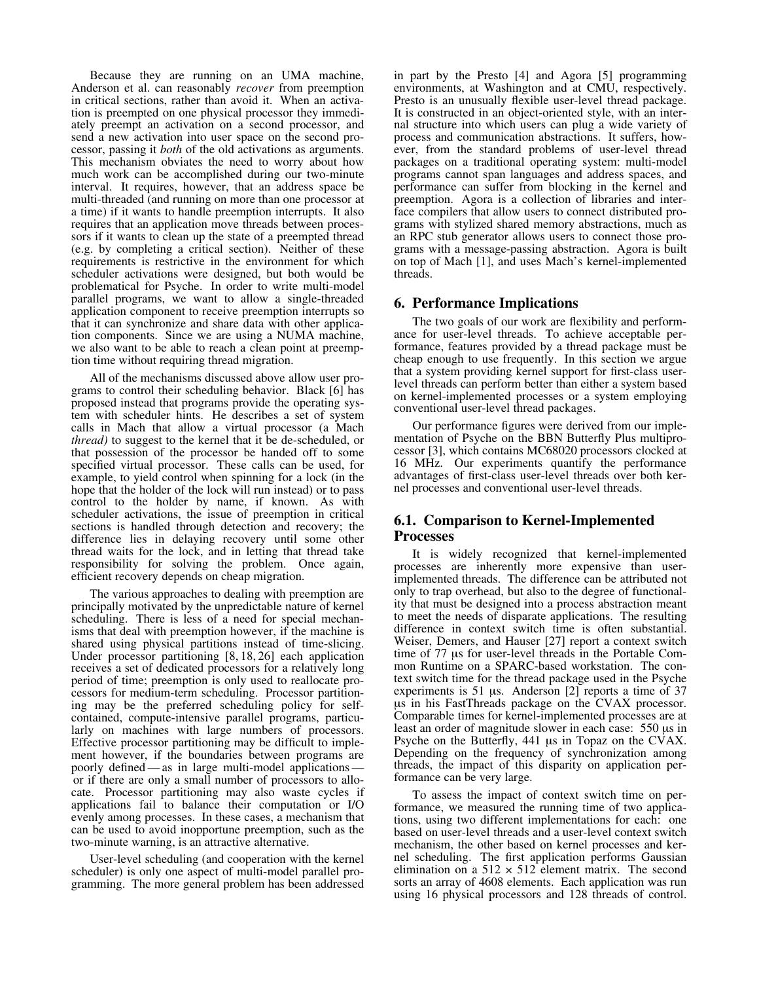Because they are running on an UMA machine, Anderson et al. can reasonably *recover* from preemption in critical sections, rather than avoid it. When an activation is preempted on one physical processor they immediately preempt an activation on a second processor, and send a new activation into user space on the second processor, passing it *both* of the old activations as arguments. This mechanism obviates the need to worry about how much work can be accomplished during our two-minute interval. It requires, however, that an address space be multi-threaded (and running on more than one processor at a time) if it wants to handle preemption interrupts. It also requires that an application move threads between processors if it wants to clean up the state of a preempted thread (e.g. by completing a critical section). Neither of these requirements is restrictive in the environment for which scheduler activations were designed, but both would be problematical for Psyche. In order to write multi-model parallel programs, we want to allow a single-threaded application component to receive preemption interrupts so that it can synchronize and share data with other application components. Since we are using a NUMA machine, we also want to be able to reach a clean point at preemption time without requiring thread migration.

All of the mechanisms discussed above allow user programs to control their scheduling behavior. Black [6] has proposed instead that programs provide the operating system with scheduler hints. He describes a set of system calls in Mach that allow a virtual processor (a Mach *thread)* to suggest to the kernel that it be de-scheduled, or that possession of the processor be handed off to some specified virtual processor. These calls can be used, for example, to yield control when spinning for a lock (in the hope that the holder of the lock will run instead) or to pass control to the holder by name, if known. As with scheduler activations, the issue of preemption in critical sections is handled through detection and recovery; the difference lies in delaying recovery until some other thread waits for the lock, and in letting that thread take responsibility for solving the problem. Once again, efficient recovery depends on cheap migration.

The various approaches to dealing with preemption are principally motivated by the unpredictable nature of kernel scheduling. There is less of a need for special mechanisms that deal with preemption however, if the machine is shared using physical partitions instead of time-slicing. Under processor partitioning [8, 18, 26] each application receives a set of dedicated processors for a relatively long period of time; preemption is only used to reallocate processors for medium-term scheduling. Processor partitioning may be the preferred scheduling policy for selfcontained, compute-intensive parallel programs, particularly on machines with large numbers of processors. Effective processor partitioning may be difficult to implement however, if the boundaries between programs are poorly defined — as in large multi-model applications or if there are only a small number of processors to allocate. Processor partitioning may also waste cycles if applications fail to balance their computation or I/O evenly among processes. In these cases, a mechanism that can be used to avoid inopportune preemption, such as the two-minute warning, is an attractive alternative.

User-level scheduling (and cooperation with the kernel scheduler) is only one aspect of multi-model parallel programming. The more general problem has been addressed

in part by the Presto [4] and Agora [5] programming environments, at Washington and at CMU, respectively. Presto is an unusually flexible user-level thread package. It is constructed in an object-oriented style, with an internal structure into which users can plug a wide variety of process and communication abstractions. It suffers, however, from the standard problems of user-level thread packages on a traditional operating system: multi-model programs cannot span languages and address spaces, and performance can suffer from blocking in the kernel and preemption. Agora is a collection of libraries and interface compilers that allow users to connect distributed programs with stylized shared memory abstractions, much as an RPC stub generator allows users to connect those programs with a message-passing abstraction. Agora is built on top of Mach [1], and uses Mach's kernel-implemented threads.

# **6. Performance Implications**

The two goals of our work are flexibility and performance for user-level threads. To achieve acceptable performance, features provided by a thread package must be cheap enough to use frequently. In this section we argue that a system providing kernel support for first-class userlevel threads can perform better than either a system based on kernel-implemented processes or a system employing conventional user-level thread packages.

Our performance figures were derived from our implementation of Psyche on the BBN Butterfly Plus multiprocessor [3], which contains MC68020 processors clocked at 16 MHz. Our experiments quantify the performance advantages of first-class user-level threads over both kernel processes and conventional user-level threads.

# **6.1. Comparison to Kernel-Implemented Processes**

It is widely recognized that kernel-implemented processes are inherently more expensive than userimplemented threads. The difference can be attributed not only to trap overhead, but also to the degree of functionality that must be designed into a process abstraction meant to meet the needs of disparate applications. The resulting difference in context switch time is often substantial. Weiser, Demers, and Hauser [27] report a context switch time of 77 µs for user-level threads in the Portable Common Runtime on a SPARC-based workstation. The context switch time for the thread package used in the Psyche experiments is 51 µs. Anderson [2] reports a time of 37 µs in his FastThreads package on the CVAX processor. Comparable times for kernel-implemented processes are at least an order of magnitude slower in each case: 550 µs in Psyche on the Butterfly, 441 µs in Topaz on the CVAX. Depending on the frequency of synchronization among threads, the impact of this disparity on application performance can be very large.

To assess the impact of context switch time on performance, we measured the running time of two applications, using two different implementations for each: one based on user-level threads and a user-level context switch mechanism, the other based on kernel processes and kernel scheduling. The first application performs Gaussian elimination on a  $512 \times 512$  element matrix. The second sorts an array of 4608 elements. Each application was run using 16 physical processors and 128 threads of control.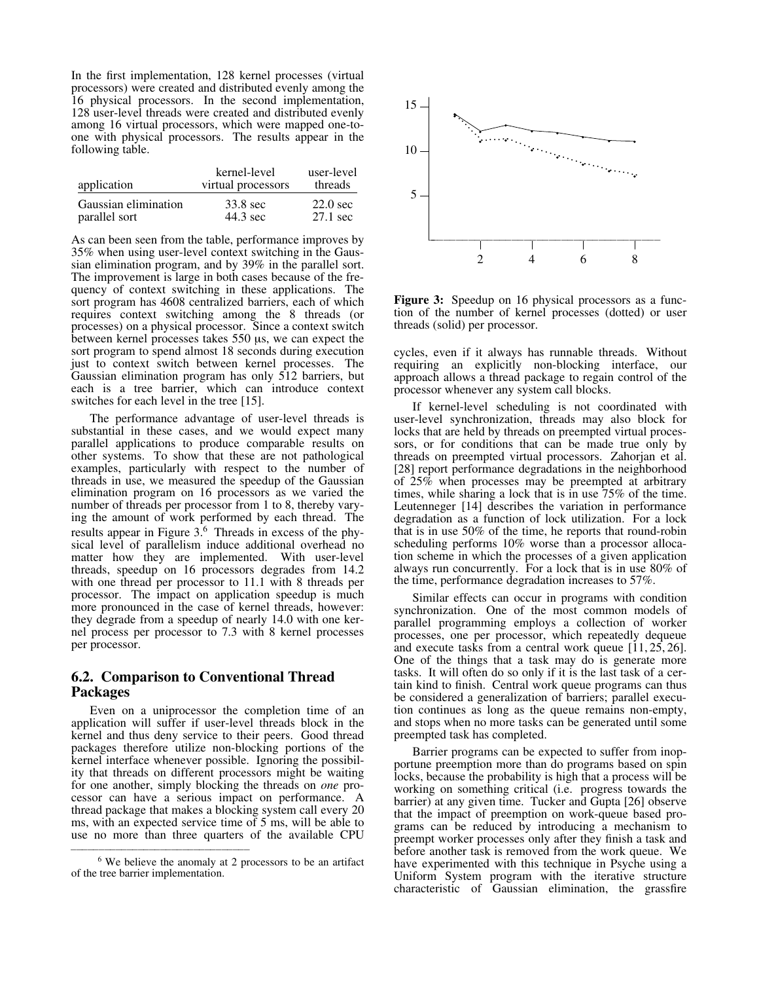In the first implementation, 128 kernel processes (virtual processors) were created and distributed evenly among the 16 physical processors. In the second implementation, 128 user-level threads were created and distributed evenly among 16 virtual processors, which were mapped one-toone with physical processors. The results appear in the following table.

| application          | kernel-level<br>virtual processors | user-level<br>threads |
|----------------------|------------------------------------|-----------------------|
| Gaussian elimination | 33.8 sec                           | $22.0$ sec            |
| parallel sort        | 44.3 sec                           | $27.1$ sec            |

As can been seen from the table, performance improves by 35% when using user-level context switching in the Gaussian elimination program, and by 39% in the parallel sort. The improvement is large in both cases because of the frequency of context switching in these applications. The sort program has 4608 centralized barriers, each of which requires context switching among the 8 threads (or processes) on a physical processor. Since a context switch between kernel processes takes 550 µs, we can expect the sort program to spend almost 18 seconds during execution just to context switch between kernel processes. The Gaussian elimination program has only 512 barriers, but each is a tree barrier, which can introduce context switches for each level in the tree [15].

The performance advantage of user-level threads is substantial in these cases, and we would expect many parallel applications to produce comparable results on other systems. To show that these are not pathological examples, particularly with respect to the number of threads in use, we measured the speedup of the Gaussian elimination program on 16 processors as we varied the number of threads per processor from 1 to 8, thereby varying the amount of work performed by each thread. The results appear in Figure  $3<sup>6</sup>$ . Threads in excess of the physical level of parallelism induce additional overhead no matter how they are implemented. With user-level threads, speedup on 16 processors degrades from 14.2 with one thread per processor to 11.1 with 8 threads per processor. The impact on application speedup is much more pronounced in the case of kernel threads, however: they degrade from a speedup of nearly 14.0 with one kernel process per processor to 7.3 with 8 kernel processes per processor.

# **6.2. Comparison to Conventional Thread Packages**

Even on a uniprocessor the completion time of an application will suffer if user-level threads block in the kernel and thus deny service to their peers. Good thread packages therefore utilize non-blocking portions of the kernel interface whenever possible. Ignoring the possibility that threads on different processors might be waiting for one another, simply blocking the threads on *one* processor can have a serious impact on performance. A thread package that makes a blocking system call every 20 ms, with an expected service time of 5 ms, will be able to use no more than three quarters of the available CPU

<u> 1989 - Johann Barn, mars eta biztanleria (h. 1989).</u>



**Figure 3:** Speedup on 16 physical processors as a function of the number of kernel processes (dotted) or user threads (solid) per processor.

cycles, even if it always has runnable threads. Without requiring an explicitly non-blocking interface, our approach allows a thread package to regain control of the processor whenever any system call blocks.

If kernel-level scheduling is not coordinated with user-level synchronization, threads may also block for locks that are held by threads on preempted virtual processors, or for conditions that can be made true only by threads on preempted virtual processors. Zahorjan et al. [28] report performance degradations in the neighborhood of 25% when processes may be preempted at arbitrary times, while sharing a lock that is in use 75% of the time. Leutenneger [14] describes the variation in performance degradation as a function of lock utilization. For a lock that is in use 50% of the time, he reports that round-robin scheduling performs 10% worse than a processor allocation scheme in which the processes of a given application always run concurrently. For a lock that is in use 80% of the time, performance degradation increases to 57%.

Similar effects can occur in programs with condition synchronization. One of the most common models of parallel programming employs a collection of worker processes, one per processor, which repeatedly dequeue and execute tasks from a central work queue [11, 25, 26]. One of the things that a task may do is generate more tasks. It will often do so only if it is the last task of a certain kind to finish. Central work queue programs can thus be considered a generalization of barriers; parallel execution continues as long as the queue remains non-empty, and stops when no more tasks can be generated until some preempted task has completed.

Barrier programs can be expected to suffer from inopportune preemption more than do programs based on spin locks, because the probability is high that a process will be working on something critical (i.e. progress towards the barrier) at any given time. Tucker and Gupta [26] observe that the impact of preemption on work-queue based programs can be reduced by introducing a mechanism to preempt worker processes only after they finish a task and before another task is removed from the work queue. We have experimented with this technique in Psyche using a Uniform System program with the iterative structure characteristic of Gaussian elimination, the grassfire

<sup>6</sup> We believe the anomaly at 2 processors to be an artifact of the tree barrier implementation.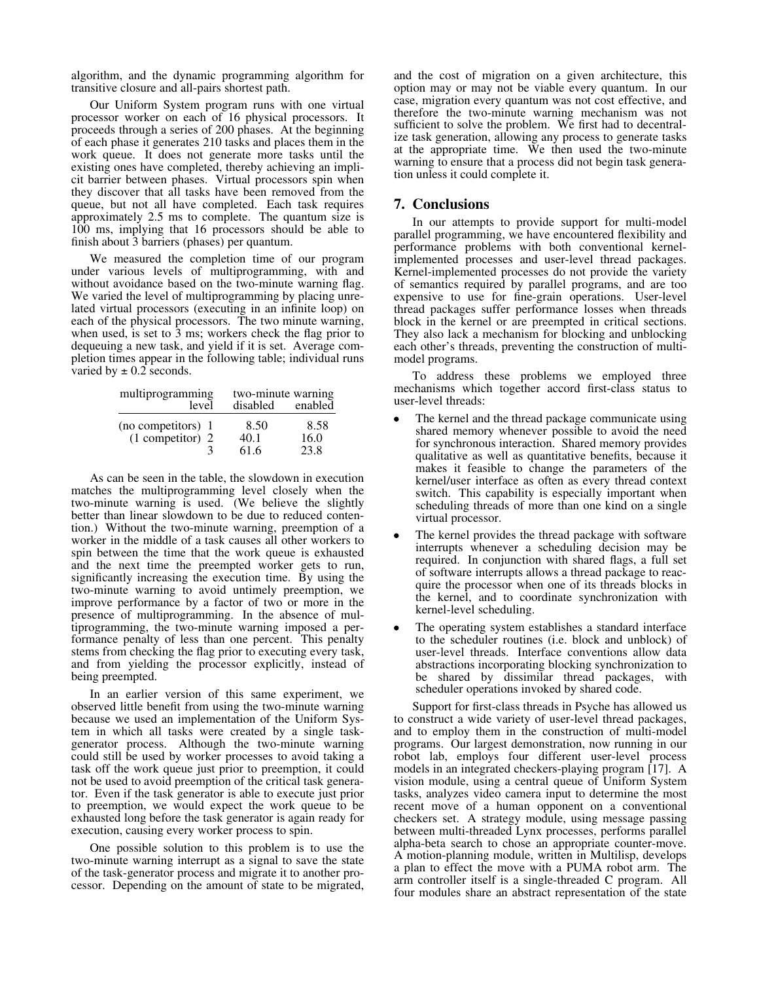algorithm, and the dynamic programming algorithm for transitive closure and all-pairs shortest path.

Our Uniform System program runs with one virtual processor worker on each of 16 physical processors. It proceeds through a series of 200 phases. At the beginning of each phase it generates 210 tasks and places them in the work queue. It does not generate more tasks until the existing ones have completed, thereby achieving an implicit barrier between phases. Virtual processors spin when they discover that all tasks have been removed from the queue, but not all have completed. Each task requires approximately 2.5 ms to complete. The quantum size is 100 ms, implying that 16 processors should be able to finish about 3 barriers (phases) per quantum.

We measured the completion time of our program under various levels of multiprogramming, with and without avoidance based on the two-minute warning flag. We varied the level of multiprogramming by placing unrelated virtual processors (executing in an infinite loop) on each of the physical processors. The two minute warning, when used, is set to  $\overline{3}$  ms; workers check the flag prior to dequeuing a new task, and yield if it is set. Average completion times appear in the following table; individual runs varied by  $\pm$  0.2 seconds.

| multiprogramming<br>level | two-minute warning<br>disabled | enabled |
|---------------------------|--------------------------------|---------|
| (no competitors) 1        | 8.50                           | 8.58    |
| $(1$ competitor) 2        | 40.1                           | 16.0    |
| 3                         | 61.6                           | 23.8    |

As can be seen in the table, the slowdown in execution matches the multiprogramming level closely when the two-minute warning is used. (We believe the slightly better than linear slowdown to be due to reduced contention.) Without the two-minute warning, preemption of a worker in the middle of a task causes all other workers to spin between the time that the work queue is exhausted and the next time the preempted worker gets to run, significantly increasing the execution time. By using the two-minute warning to avoid untimely preemption, we improve performance by a factor of two or more in the presence of multiprogramming. In the absence of multiprogramming, the two-minute warning imposed a performance penalty of less than one percent. This penalty stems from checking the flag prior to executing every task, and from yielding the processor explicitly, instead of being preempted.

In an earlier version of this same experiment, we observed little benefit from using the two-minute warning because we used an implementation of the Uniform System in which all tasks were created by a single taskgenerator process. Although the two-minute warning could still be used by worker processes to avoid taking a task off the work queue just prior to preemption, it could not be used to avoid preemption of the critical task generator. Even if the task generator is able to execute just prior to preemption, we would expect the work queue to be exhausted long before the task generator is again ready for execution, causing every worker process to spin.

One possible solution to this problem is to use the two-minute warning interrupt as a signal to save the state of the task-generator process and migrate it to another processor. Depending on the amount of state to be migrated, and the cost of migration on a given architecture, this option may or may not be viable every quantum. In our case, migration every quantum was not cost effective, and therefore the two-minute warning mechanism was not sufficient to solve the problem. We first had to decentralize task generation, allowing any process to generate tasks at the appropriate time. We then used the two-minute warning to ensure that a process did not begin task generation unless it could complete it.

## **7. Conclusions**

In our attempts to provide support for multi-model parallel programming, we have encountered flexibility and performance problems with both conventional kernelimplemented processes and user-level thread packages. Kernel-implemented processes do not provide the variety of semantics required by parallel programs, and are too expensive to use for fine-grain operations. User-level thread packages suffer performance losses when threads block in the kernel or are preempted in critical sections. They also lack a mechanism for blocking and unblocking each other's threads, preventing the construction of multimodel programs.

To address these problems we employed three mechanisms which together accord first-class status to user-level threads:

- - The kernel and the thread package communicate using shared memory whenever possible to avoid the need for synchronous interaction. Shared memory provides qualitative as well as quantitative benefits, because it makes it feasible to change the parameters of the kernel/user interface as often as every thread context switch. This capability is especially important when scheduling threads of more than one kind on a single virtual processor.
- - The kernel provides the thread package with software interrupts whenever a scheduling decision may be required. In conjunction with shared flags, a full set of software interrupts allows a thread package to reacquire the processor when one of its threads blocks in the kernel, and to coordinate synchronization with kernel-level scheduling.
- - The operating system establishes a standard interface to the scheduler routines (i.e. block and unblock) of user-level threads. Interface conventions allow data abstractions incorporating blocking synchronization to be shared by dissimilar thread packages, with scheduler operations invoked by shared code.

Support for first-class threads in Psyche has allowed us to construct a wide variety of user-level thread packages, and to employ them in the construction of multi-model programs. Our largest demonstration, now running in our robot lab, employs four different user-level process models in an integrated checkers-playing program [17]. A vision module, using a central queue of Uniform System tasks, analyzes video camera input to determine the most recent move of a human opponent on a conventional checkers set. A strategy module, using message passing between multi-threaded Lynx processes, performs parallel alpha-beta search to chose an appropriate counter-move. A motion-planning module, written in Multilisp, develops a plan to effect the move with a PUMA robot arm. The arm controller itself is a single-threaded C program. All four modules share an abstract representation of the state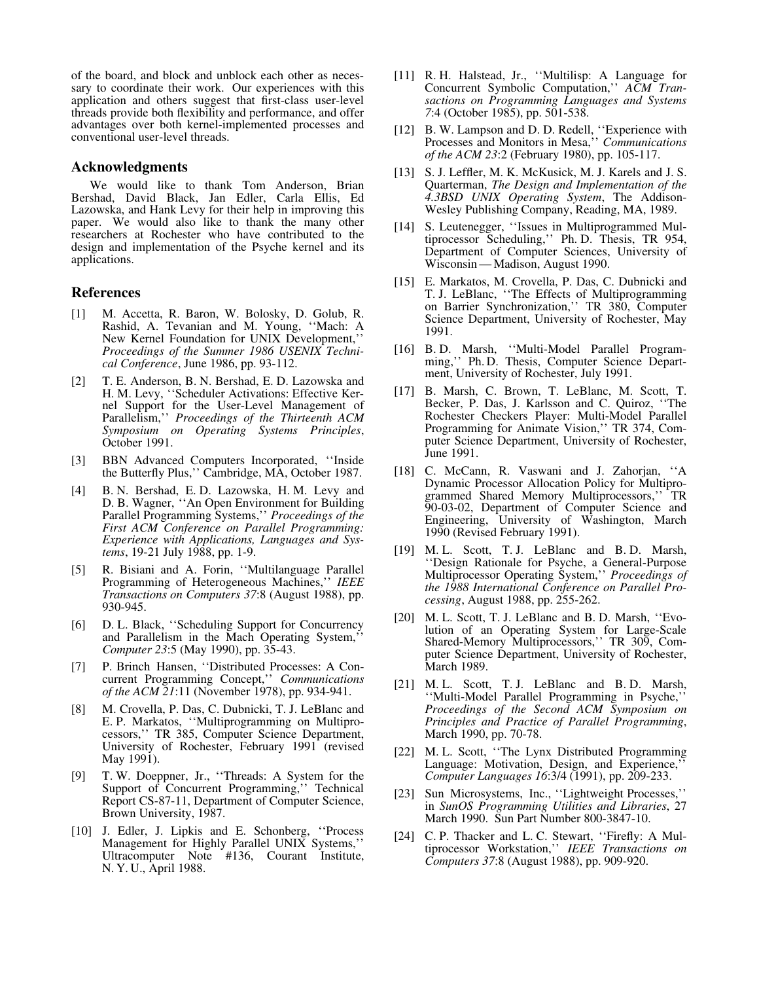of the board, and block and unblock each other as necessary to coordinate their work. Our experiences with this application and others suggest that first-class user-level threads provide both flexibility and performance, and offer advantages over both kernel-implemented processes and conventional user-level threads.

### **Acknowledgments**

We would like to thank Tom Anderson, Brian Bershad, David Black, Jan Edler, Carla Ellis, Ed Lazowska, and Hank Levy for their help in improving this paper. We would also like to thank the many other researchers at Rochester who have contributed to the design and implementation of the Psyche kernel and its applications.

## **References**

- [1] M. Accetta, R. Baron, W. Bolosky, D. Golub, R. Rashid, A. Tevanian and M. Young, ''Mach: A New Kernel Foundation for UNIX Development,'' *Proceedings of the Summer 1986 USENIX Technical Conference*, June 1986, pp. 93-112.
- [2] T. E. Anderson, B. N. Bershad, E. D. Lazowska and H. M. Levy, ''Scheduler Activations: Effective Kernel Support for the User-Level Management of Parallelism,'' *Proceedings of the Thirteenth ACM Symposium on Operating Systems Principles*, October 1991.
- [3] BBN Advanced Computers Incorporated, ''Inside the Butterfly Plus,'' Cambridge, MA, October 1987.
- [4] B. N. Bershad, E. D. Lazowska, H. M. Levy and D. B. Wagner, ''An Open Environment for Building Parallel Programming Systems,'' *Proceedings of the First ACM Conference on Parallel Programming: Experience with Applications, Languages and Systems*, 19-21 July 1988, pp. 1-9.
- [5] R. Bisiani and A. Forin, ''Multilanguage Parallel Programming of Heterogeneous Machines,'' *IEEE Transactions on Computers 37*:8 (August 1988), pp. 930-945.
- [6] D. L. Black, ''Scheduling Support for Concurrency and Parallelism in the Mach Operating System,'' *Computer 23*:5 (May 1990), pp. 35-43.
- [7] P. Brinch Hansen, ''Distributed Processes: A Concurrent Programming Concept,'' *Communications of the ACM 21*:11 (November 1978), pp. 934-941.
- [8] M. Crovella, P. Das, C. Dubnicki, T. J. LeBlanc and E. P. Markatos, ''Multiprogramming on Multiprocessors,'' TR 385, Computer Science Department, University of Rochester, February 1991 (revised May 1991).
- [9] T. W. Doeppner, Jr., ''Threads: A System for the Support of Concurrent Programming,'' Technical Report CS-87-11, Department of Computer Science, Brown University, 1987.
- [10] J. Edler, J. Lipkis and E. Schonberg, ''Process Management for Highly Parallel UNIX Systems,'' Ultracomputer Note #136, Courant Institute, N. Y. U., April 1988.
- [11] R. H. Halstead, Jr., ''Multilisp: A Language for Concurrent Symbolic Computation,'' *ACM Transactions on Programming Languages and Systems 7*:4 (October 1985), pp. 501-538.
- [12] B. W. Lampson and D. D. Redell, "Experience with Processes and Monitors in Mesa,'' *Communications of the ACM 23*:2 (February 1980), pp. 105-117.
- [13] S. J. Leffler, M. K. McKusick, M. J. Karels and J. S. Quarterman, *The Design and Implementation of the 4.3BSD UNIX Operating System*, The Addison-Wesley Publishing Company, Reading, MA, 1989.
- [14] S. Leutenegger, ''Issues in Multiprogrammed Multiprocessor Scheduling,'' Ph. D. Thesis, TR 954, Department of Computer Sciences, University of Wisconsin — Madison, August 1990.
- [15] E. Markatos, M. Crovella, P. Das, C. Dubnicki and T. J. LeBlanc, ''The Effects of Multiprogramming on Barrier Synchronization,'' TR 380, Computer Science Department, University of Rochester, May 1991.
- [16] B. D. Marsh, ''Multi-Model Parallel Programming,'' Ph. D. Thesis, Computer Science Department, University of Rochester, July 1991.
- [17] B. Marsh, C. Brown, T. LeBlanc, M. Scott, T. Becker, P. Das, J. Karlsson and C. Quiroz, ''The Rochester Checkers Player: Multi-Model Parallel Programming for Animate Vision,'' TR 374, Computer Science Department, University of Rochester, June 1991.
- [18] C. McCann, R. Vaswani and J. Zahorjan, ''A Dynamic Processor Allocation Policy for Multiprogrammed Shared Memory Multiprocessors,'' TR 90-03-02, Department of Computer Science and Engineering, University of Washington, March 1990 (Revised February 1991).
- [19] M. L. Scott, T. J. LeBlanc and B. D. Marsh, ''Design Rationale for Psyche, a General-Purpose Multiprocessor Operating System,'' *Proceedings of the 1988 International Conference on Parallel Processing*, August 1988, pp. 255-262.
- [20] M. L. Scott, T. J. LeBlanc and B. D. Marsh, "Evolution of an Operating System for Large-Scale Shared-Memory Multiprocessors,'' TR 309, Computer Science Department, University of Rochester, March 1989.
- [21] M. L. Scott, T. J. LeBlanc and B. D. Marsh, ''Multi-Model Parallel Programming in Psyche,'' *Proceedings of the Second ACM Symposium on Principles and Practice of Parallel Programming*, March 1990, pp. 70-78.
- [22] M. L. Scott, "The Lynx Distributed Programming Language: Motivation, Design, and Experience, *Computer Languages 16*:3/4 (1991), pp. 209-233.
- [23] Sun Microsystems, Inc., ''Lightweight Processes,'' in *SunOS Programming Utilities and Libraries*, 27 March 1990. Sun Part Number 800-3847-10.
- [24] C. P. Thacker and L. C. Stewart, ''Firefly: A Multiprocessor Workstation,'' *IEEE Transactions on Computers 37*:8 (August 1988), pp. 909-920.